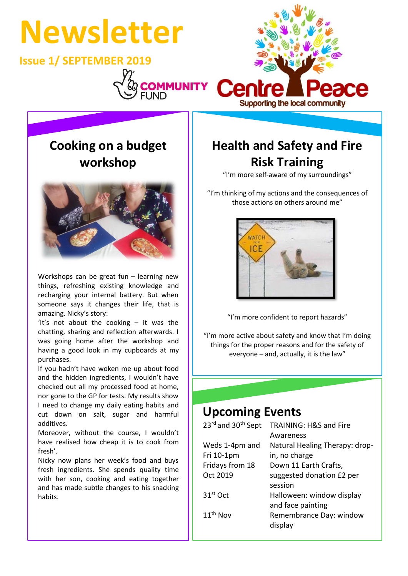

# **Cooking on a budget workshop**



Workshops can be great fun – learning new things, refreshing existing knowledge and recharging your internal battery. But when someone says it changes their life, that is amazing. Nicky's story:

'It's not about the cooking – it was the chatting, sharing and reflection afterwards. I was going home after the workshop and having a good look in my cupboards at my purchases.

If you hadn't have woken me up about food and the hidden ingredients, I wouldn't have checked out all my processed food at home, nor gone to the GP for tests. My results show I need to change my daily eating habits and cut down on salt, sugar and harmful additives.

Moreover, without the course, I wouldn't have realised how cheap it is to cook from fresh'.

Nicky now plans her week's food and buys fresh ingredients. She spends quality time with her son, cooking and eating together and has made subtle changes to his snacking habits.

# **Health and Safety and Fire Risk Training**

"I'm more self-aware of my surroundings"

"I'm thinking of my actions and the consequences of those actions on others around me"



"I'm more confident to report hazards"

"I'm more active about safety and know that I'm doing things for the proper reasons and for the safety of everyone – and, actually, it is the law"

### **Upcoming Events**

| 23rd and 30 <sup>th</sup> Sept | TRAINING: H&S and Fire             |
|--------------------------------|------------------------------------|
|                                | Awareness                          |
| Weds 1-4pm and                 | Natural Healing Therapy: drop-     |
| Fri 10-1pm                     | in, no charge                      |
| Fridays from 18                | Down 11 Earth Crafts,              |
| Oct 2019                       | suggested donation £2 per          |
|                                | session                            |
| 31 <sup>st</sup> Oct           | Halloween: window display          |
|                                | and face painting                  |
| 11 <sup>th</sup> Nov           | Remembrance Day: window<br>display |
|                                |                                    |